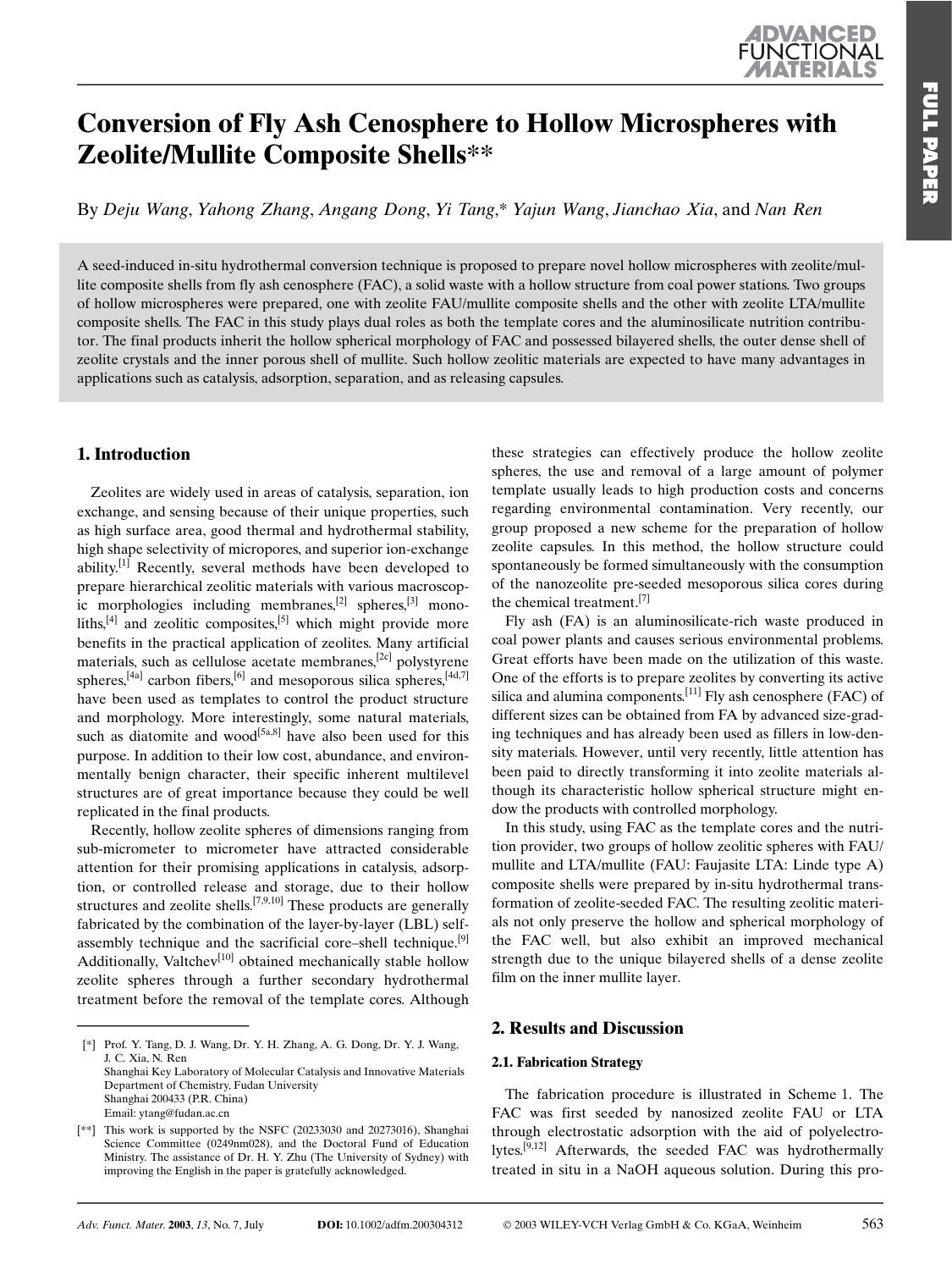# **Conversion of Fly Ash Cenosphere to Hollow Microspheres with** Zeolite/Mullite Composite Shells\*\*

By Deju Wang, Yahong Zhang, Angang Dong, Yi Tang,\* Yajun Wang, Jianchao Xia, and Nan Ren

A seed-induced in-situ hydrothermal conversion technique is proposed to prepare novel hollow microspheres with zeolite/mullite composite shells from fly ash cenosphere (FAC), a solid waste with a hollow structure from coal power stations. Two groups of hollow microspheres were prepared, one with zeolite FAU/mullite composite shells and the other with zeolite LTA/mullite composite shells. The FAC in this study plays dual roles as both the template cores and the aluminosilicate nutrition contributor. The final products inherit the hollow spherical morphology of FAC and possessed bilayered shells, the outer dense shell of zeolite crystals and the inner porous shell of mullite. Such hollow zeolitic materials are expected to have many advantages in applications such as catalysis, adsorption, separation, and as releasing capsules.

## 1. Introduction

Zeolites are widely used in areas of catalysis, separation, ion exchange, and sensing because of their unique properties, such as high surface area, good thermal and hydrothermal stability, high shape selectivity of micropores, and superior ion-exchange ability.<sup>[1]</sup> Recently, several methods have been developed to prepare hierarchical zeolitic materials with various macroscopic morphologies including membranes.<sup>[2]</sup> spheres.<sup>[3]</sup> monoliths, $^{[4]}$  and zeolitic composites, $^{[5]}$  which might provide more benefits in the practical application of zeolites. Many artificial materials, such as cellulose acetate membranes,<sup>[2c]</sup> polystyrene spheres,  $[4a]$  carbon fibers,  $[6]$  and mesoporous silica spheres,  $[4d,7]$ have been used as templates to control the product structure and morphology. More interestingly, some natural materials, such as diatomite and wood<sup>[5a,8]</sup> have also been used for this purpose. In addition to their low cost, abundance, and environmentally benign character, their specific inherent multilevel structures are of great importance because they could be well replicated in the final products.

Recently, hollow zeolite spheres of dimensions ranging from sub-micrometer to micrometer have attracted considerable attention for their promising applications in catalysis, adsorption, or controlled release and storage, due to their hollow structures and zeolite shells.<sup>[7,9,10]</sup> These products are generally fabricated by the combination of the layer-by-layer (LBL) selfassembly technique and the sacrificial core-shell technique.<sup>[9]</sup> Additionally, Valtchev<sup>[10]</sup> obtained mechanically stable hollow zeolite spheres through a further secondary hydrothermal treatment before the removal of the template cores. Although

these strategies can effectively produce the hollow zeolite spheres, the use and removal of a large amount of polymer template usually leads to high production costs and concerns regarding environmental contamination. Very recently, our group proposed a new scheme for the preparation of hollow zeolite capsules. In this method, the hollow structure could spontaneously be formed simultaneously with the consumption of the nanozeolite pre-seeded mesoporous silica cores during the chemical treatment.<sup>[7]</sup>

Fly ash (FA) is an aluminosilicate-rich waste produced in coal power plants and causes serious environmental problems. Great efforts have been made on the utilization of this waste. One of the efforts is to prepare zeolites by converting its active silica and alumina components.<sup>[11]</sup> Fly ash cenosphere (FAC) of different sizes can be obtained from FA by advanced size-grading techniques and has already been used as fillers in low-density materials. However, until very recently, little attention has been paid to directly transforming it into zeolite materials although its characteristic hollow spherical structure might endow the products with controlled morphology.

In this study, using FAC as the template cores and the nutrition provider, two groups of hollow zeolitic spheres with FAU/ mullite and LTA/mullite (FAU: Faujasite LTA: Linde type A) composite shells were prepared by in-situ hydrothermal transformation of zeolite-seeded FAC. The resulting zeolitic materials not only preserve the hollow and spherical morphology of the FAC well, but also exhibit an improved mechanical strength due to the unique bilayered shells of a dense zeolite film on the inner mullite layer.

## **2. Results and Discussion**

### 2.1. Fabrication Strategy

The fabrication procedure is illustrated in Scheme 1. The FAC was first seeded by nanosized zeolite FAU or LTA through electrostatic adsorption with the aid of polyelectrolytes.<sup>[9,12]</sup> Afterwards, the seeded FAC was hydrothermally treated in situ in a NaOH aqueous solution. During this pro-

563

<sup>[\*]</sup> Prof. Y. Tang, D. J. Wang, Dr. Y. H. Zhang, A. G. Dong, Dr. Y. J. Wang, J. C. Xia, N. Ren Shanghai Key Laboratory of Molecular Catalysis and Innovative Materials Department of Chemistry, Fudan University Shanghai 200433 (P.R. China) Email: vtang@fudan.ac.cn

 $[**]$  This work is supported by the NSFC (20233030 and 20273016), Shanghai Science Committee (0249nm028), and the Doctoral Fund of Education Ministry. The assistance of Dr. H. Y. Zhu (The University of Sydney) with improving the English in the paper is gratefully acknowledged.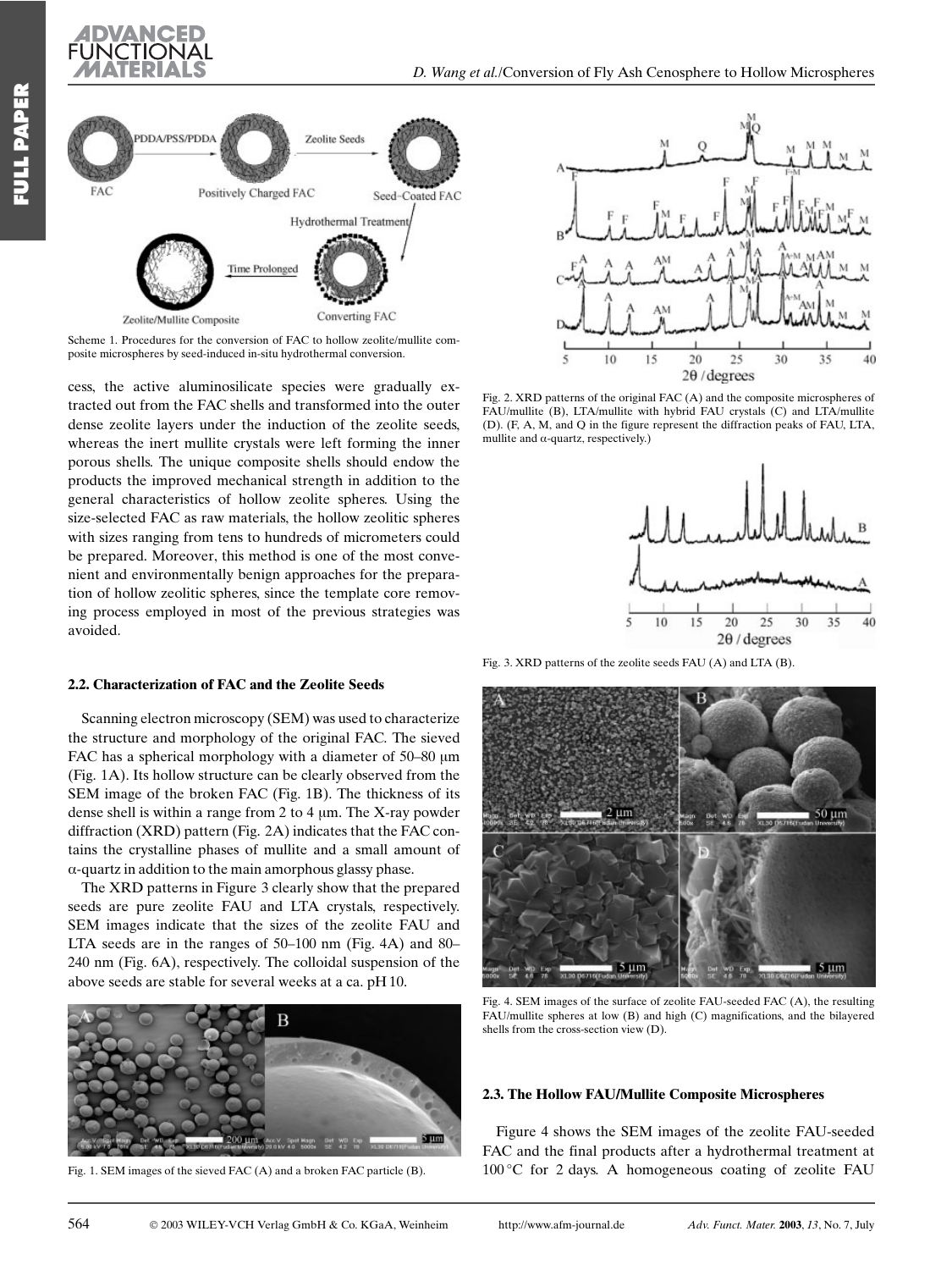



Scheme 1. Procedures for the conversion of FAC to hollow zeolite/mullite.composite microspheres by seed-induced in-situ hydrothermal conversion.

cess, the active aluminosilicate species were gradually extracted out from the FAC shells and transformed into the outer dense zeolite layers under the induction of the zeolite seeds, whereas the inert mullite crystals were left forming the inner porous shells. The unique composite shells should endow the products the improved mechanical strength in addition to the general characteristics of hollow zeolite spheres. Using the size-selected FAC as raw materials, the hollow zeolitic spheres with sizes ranging from tens to hundreds of micrometers could be prepared. Moreover, this method is one of the most convenient and environmentally benign approaches for the preparation of hollow zeolitic spheres, since the template core removing process employed in most of the previous strategies was avoided.

#### 2.2. Characterization of FAC and the Zeolite Seeds

Scanning electron microscopy (SEM) was used to characterize the structure and morphology of the original FAC. The sieved FAC has a spherical morphology with a diameter of 50-80 µm (Fig. 1A). Its hollow structure can be clearly observed from the SEM image of the broken FAC (Fig. 1B). The thickness of its dense shell is within a range from 2 to 4 um. The X-ray powder diffraction (XRD) pattern (Fig. 2A) indicates that the FAC contains the crystalline phases of mullite and a small amount of  $\alpha$ -quartz in addition to the main amorphous glassy phase.

The XRD patterns in Figure 3 clearly show that the prepared seeds are pure zeolite FAU and LTA crystals, respectively. SEM images indicate that the sizes of the zeolite FAU and LTA seeds are in the ranges of 50–100 nm (Fig. 4A) and 80– 240 nm (Fig. 6A), respectively. The colloidal suspension of the above seeds are stable for several weeks at a ca. pH 10.



Fig. 1. SEM images of the sieved FAC (A) and a broken FAC particle (B).



Fig. 2. XRD patterns of the original FAC (A) and the composite microspheres of FAU/mullite (B), LTA/mullite with hybrid FAU crystals (C) and LTA/mullite (D). (F, A, M, and Q in the figure represent the diffraction peaks of FAU, LTA, mullite and  $\alpha$ -quartz, respectively.)



Fig. 3. XRD patterns of the zeolite seeds FAU (A) and LTA (B).



Fig. 4. SEM images of the surface of zeolite FAU-seeded FAC (A), the resulting FAU/mullite spheres at low (B) and high (C) magnifications, and the bilayered shells from the cross-section view (D).

#### 2.3. The Hollow FAU/Mullite Composite Microspheres

Figure 4 shows the SEM images of the zeolite FAU-seeded FAC and the final products after a hydrothermal treatment at  $100^{\circ}$ C for 2 days. A homogeneous coating of zeolite FAU

564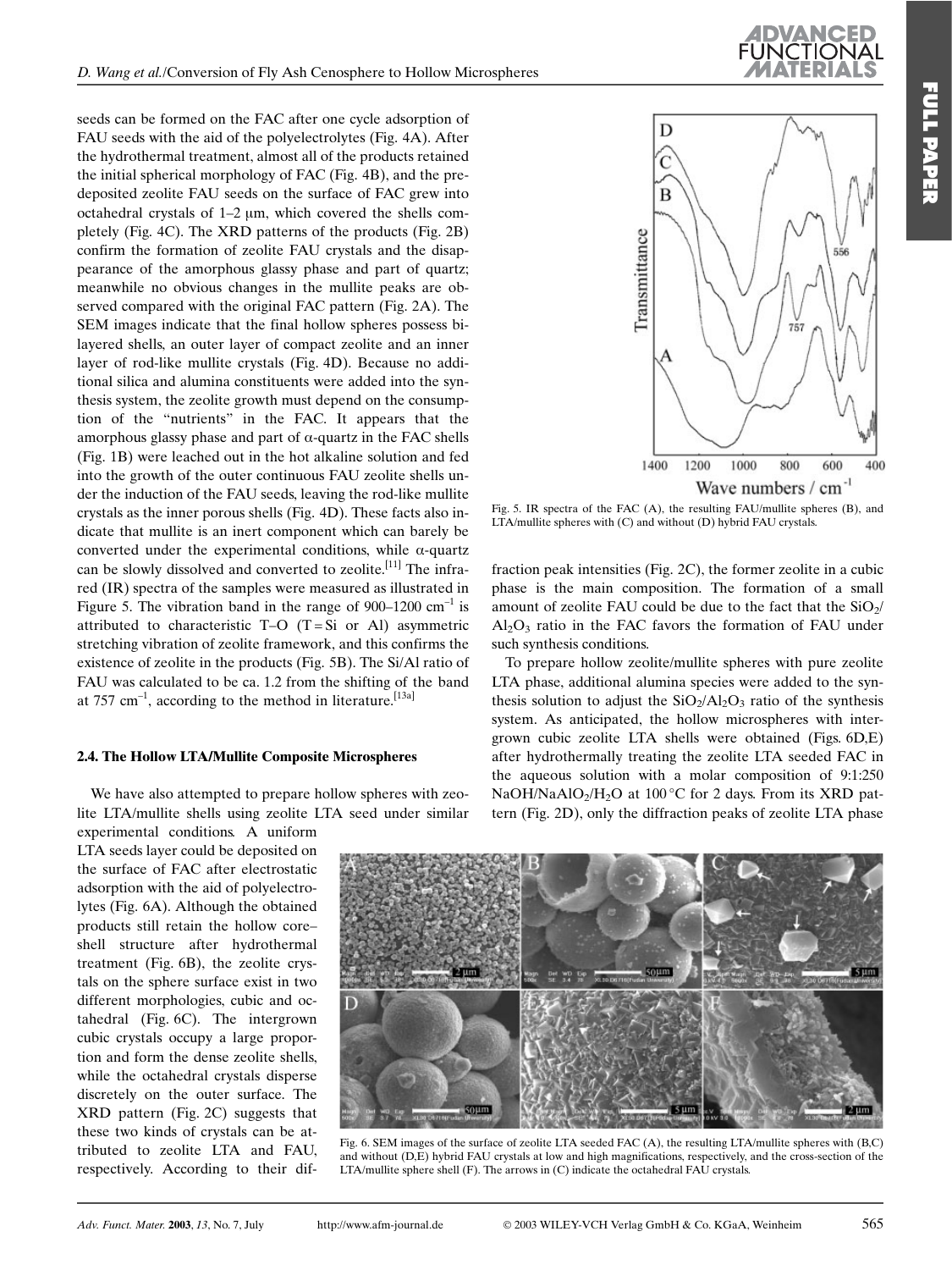seeds can be formed on the FAC after one cycle adsorption of FAU seeds with the aid of the polyelectrolytes (Fig. 4A). After the hydrothermal treatment, almost all of the products retained the initial spherical morphology of FAC (Fig. 4B), and the predeposited zeolite FAU seeds on the surface of FAC grew into octahedral crystals of  $1-2 \mu m$ , which covered the shells completely (Fig. 4C). The XRD patterns of the products (Fig. 2B) confirm the formation of zeolite FAU crystals and the disappearance of the amorphous glassy phase and part of quartz; meanwhile no obvious changes in the mullite peaks are observed compared with the original FAC pattern (Fig. 2A). The SEM images indicate that the final hollow spheres possess bilayered shells, an outer layer of compact zeolite and an inner layer of rod-like mullite crystals (Fig. 4D). Because no additional silica and alumina constituents were added into the synthesis system, the zeolite growth must depend on the consumption of the "nutrients" in the FAC. It appears that the amorphous glassy phase and part of  $\alpha$ -quartz in the FAC shells (Fig. 1B) were leached out in the hot alkaline solution and fed into the growth of the outer continuous FAU zeolite shells under the induction of the FAU seeds, leaving the rod-like mullite crystals as the inner porous shells (Fig. 4D). These facts also indicate that mullite is an inert component which can barely be converted under the experimental conditions, while  $\alpha$ -quartz can be slowly dissolved and converted to zeolite.<sup>[11]</sup> The infrared (IR) spectra of the samples were measured as illustrated in Figure 5. The vibration band in the range of  $900-1200$  cm<sup>-1</sup> is attributed to characteristic T-O  $(T = Si \text{ or } Al)$  asymmetric stretching vibration of zeolite framework, and this confirms the existence of zeolite in the products (Fig. 5B). The Si/Al ratio of FAU was calculated to be ca. 1.2 from the shifting of the band at 757 cm<sup>-1</sup>, according to the method in literature.<sup>[13a]</sup>

#### 2.4. The Hollow LTA/Mullite Composite Microspheres

We have also attempted to prepare hollow spheres with zeolite LTA/mullite shells using zeolite LTA seed under similar experimental conditions. A uniform

LTA seeds laver could be deposited on the surface of FAC after electrostatic adsorption with the aid of polyelectrolytes (Fig. 6A). Although the obtained products still retain the hollow coreshell structure after hydrothermal treatment (Fig. 6B), the zeolite crystals on the sphere surface exist in two different morphologies, cubic and octahedral (Fig. 6C). The intergrown cubic crystals occupy a large proportion and form the dense zeolite shells. while the octahedral crystals disperse discretely on the outer surface. The XRD pattern (Fig. 2C) suggests that these two kinds of crystals can be attributed to zeolite LTA and FAU, respectively. According to their dif-



Fig. 5. IR spectra of the FAC  $(A)$ , the resulting FAU/mullite spheres  $(B)$ , and LTA/mullite spheres with (C) and without (D) hybrid FAU crystals.

fraction peak intensities (Fig. 2C), the former zeolite in a cubic phase is the main composition. The formation of a small amount of zeolite FAU could be due to the fact that the  $SiO<sub>2</sub>/$  $Al_2O_3$  ratio in the FAC favors the formation of FAU under such synthesis conditions.

To prepare hollow zeolite/mullite spheres with pure zeolite LTA phase, additional alumina species were added to the synthesis solution to adjust the  $SiO_2/AI_2O_3$  ratio of the synthesis system. As anticipated, the hollow microspheres with intergrown cubic zeolite LTA shells were obtained (Figs. 6D,E) after hydrothermally treating the zeolite LTA seeded FAC in the aqueous solution with a molar composition of 9:1:250 NaOH/NaAlO<sub>2</sub>/H<sub>2</sub>O at 100 °C for 2 days. From its XRD pattern (Fig. 2D), only the diffraction peaks of zeolite LTA phase



Fig. 6. SEM images of the surface of zeolite LTA seeded FAC (A), the resulting LTA/mullite spheres with (B,C) and without (D.E) hybrid FAU crystals at low and high magnifications, respectively, and the cross-section of the LTA/mullite sphere shell (F). The arrows in (C) indicate the octahedral FAU crystals.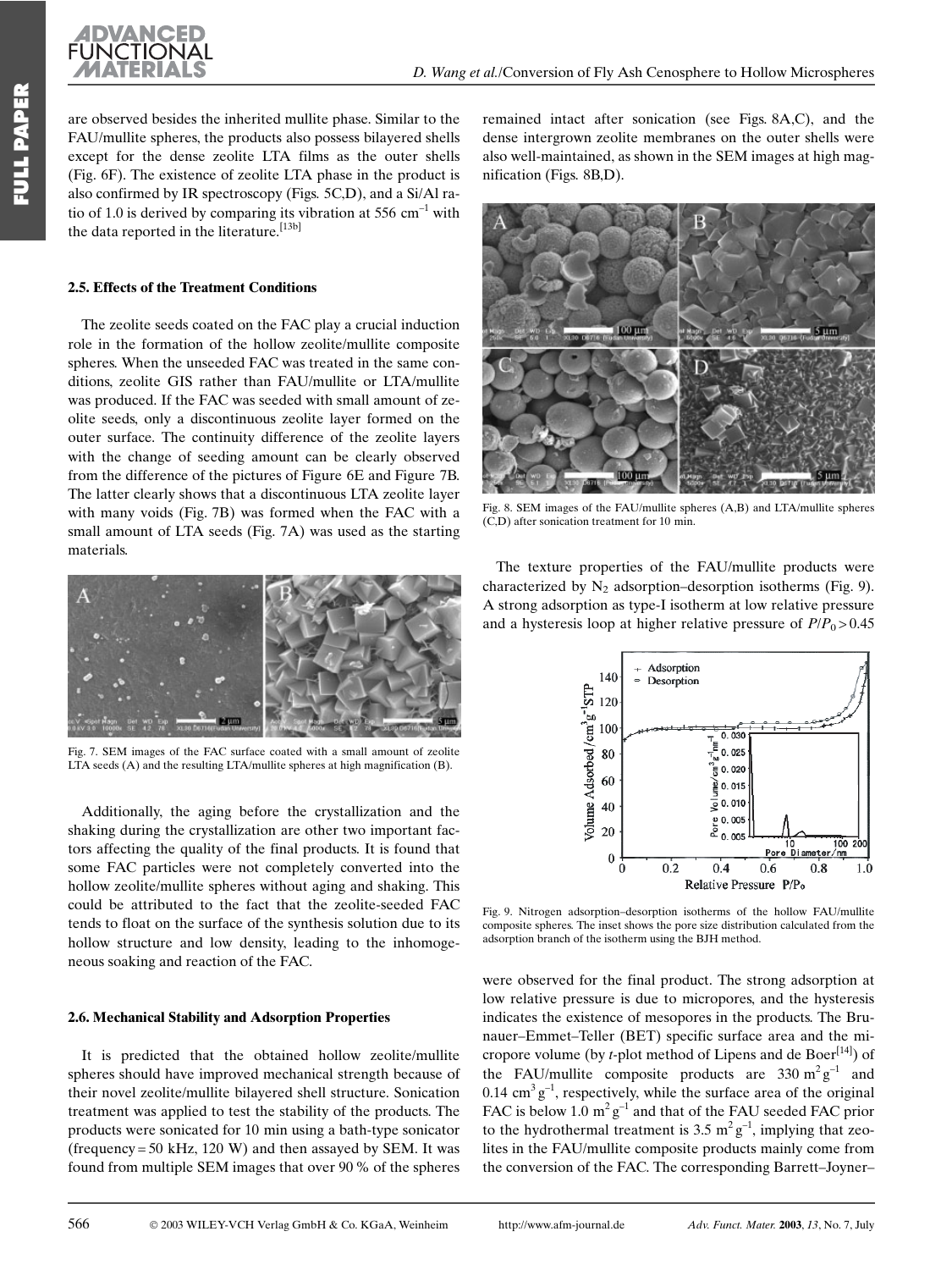

are observed besides the inherited mullite phase. Similar to the FAU/mullite spheres, the products also possess bilayered shells except for the dense zeolite LTA films as the outer shells (Fig. 6F). The existence of zeolite LTA phase in the product is also confirmed by IR spectroscopy (Figs. 5C,D), and a Si/Al ratio of 1.0 is derived by comparing its vibration at 556 cm<sup>-1</sup> with the data reported in the literature.[13b]

#### 2.5. Effects of the Treatment Conditions

The zeolite seeds coated on the FAC play a crucial induction role in the formation of the hollow zeolite/mullite composite spheres. When the unseeded FAC was treated in the same conditions, zeolite GIS rather than FAU/mullite or LTA/mullite was produced. If the FAC was seeded with small amount of zeolite seeds, only a discontinuous zeolite layer formed on the outer surface. The continuity difference of the zeolite layers with the change of seeding amount can be clearly observed from the difference of the pictures of Figure 6E and Figure 7B. The latter clearly shows that a discontinuous LTA zeolite layer with many voids (Fig. 7B) was formed when the FAC with a small amount of LTA seeds (Fig. 7A) was used as the starting materials.



Fig. 7. SEM images of the FAC surface coated with a small amount of zeolite LTA seeds (A) and the resulting LTA/mullite spheres at high magnification (B).

Additionally, the aging before the crystallization and the shaking during the crystallization are other two important factors affecting the quality of the final products. It is found that some FAC particles were not completely converted into the hollow zeolite/mullite spheres without aging and shaking. This could be attributed to the fact that the zeolite-seeded FAC tends to float on the surface of the synthesis solution due to its hollow structure and low density, leading to the inhomogeneous soaking and reaction of the FAC.

#### 2.6. Mechanical Stability and Adsorption Properties

It is predicted that the obtained hollow zeolite/mullite spheres should have improved mechanical strength because of their novel zeolite/mullite bilayered shell structure. Sonication treatment was applied to test the stability of the products. The products were sonicated for 10 min using a bath-type sonicator (frequency = 50 kHz, 120 W) and then assayed by SEM. It was found from multiple SEM images that over 90 % of the spheres

remained intact after sonication (see Figs. 8A,C), and the dense intergrown zeolite membranes on the outer shells were also well-maintained, as shown in the SEM images at high magnification (Figs. 8B,D).



Fig. 8. SEM images of the FAU/mullite spheres (A,B) and LTA/mullite spheres  $(CD)$  after sonication treatment for 10 min

The texture properties of the FAU/mullite products were characterized by  $N_2$  adsorption-desorption isotherms (Fig. 9). A strong adsorption as type-I isotherm at low relative pressure and a hysteresis loop at higher relative pressure of  $P/P_0 > 0.45$ 



Fig. 9. Nitrogen adsorption-desorption isotherms of the hollow FAU/mullite composite spheres. The inset shows the pore size distribution calculated from the adsorption branch of the isotherm using the BJH method.

were observed for the final product. The strong adsorption at low relative pressure is due to micropores, and the hysteresis indicates the existence of mesopores in the products. The Brunauer-Emmet-Teller (BET) specific surface area and the micropore volume (by *t*-plot method of Lipens and de Boer<sup>[14]</sup>) of the FAU/mullite composite products are 330  $m^2 g^{-1}$  and  $0.14 \text{ cm}^3 \text{ g}^{-1}$ , respectively, while the surface area of the original FAC is below 1.0  $m^2 g^{-1}$  and that of the FAU seeded FAC prior to the hydrothermal treatment is 3.5  $m^2 g^{-1}$ , implying that zeolites in the FAU/mullite composite products mainly come from the conversion of the FAC. The corresponding Barrett-Joyner-